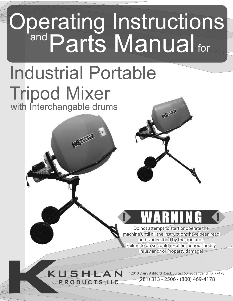# Operating Instructions and Parts Manual fo for

# with Interchangable drums Industrial Portable Tripod Mixer

**Accounting** 

KUSHLAN

**P R O D U C T S , LLC**

Do not attempt to start or operate the<br>machine until all the Instructions have been read

Do not attempt to start or operate the and Understood by the operator. Failure to do so could result in Serious bodily injury and/ or Property damage!

12010 Dairy Ashford Road, Suite 160, Sugar Land, TX 77478 (281) 313 - 2506 (800) 469-4178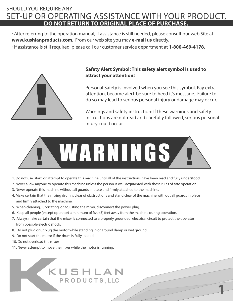### SET-UP OR OPERATING ASSISTANCE WITH YOUR PRODUCT, SHOULD YOU REQUIRE ANY **DO NOT RETURN TO ORIGINAL PLACE OF PURCHASE.**

·After referring to the operation manual, if assistance is still needed, please consult our web Site at **www.kushlanproducts.com**. From our web site you may **e-mail us** directly.

· If assistance is still required, please call our customer service department at **1-800-469-4178.**



#### **Safety Alert Symbol: This safety alert symbol is used to attract your attention!**

Personal Safety is involved when you see this symbol, Pay extra attention, become alert-be sure to heed it's message. Failure to do so may lead to serious personal injury or damage may occur.

Warnings and safety instruction: If these warnings and safety instructions are not read and carefully followed, serious personal injury could occur.

**1**



- 1.Do not use, start, or attempt to operate this machine until all of the instructions have been read and fully understood.
- 2. Never allow anyone to operate this machine unless the person is well acquainted with these rules of safe operation.
- 3. Never operate this machine without all guards in place and firmly attached to the machine.
- 4. Make certain that the mixing drum is clear of obstructions and stand clear of the machine with out all guards in place and firmly attached to the machine.
- 5. When cleaning, lubricating, or adjusting the mixer, disconnect the power plug.
- 6. Keep all people (except operator) a minimum of five (5) feet away from the machine during operation.
- 7. Always make certain that the mixer is connected to a properly grounded electrical circuit to protect the operator from possible electric shock.
- 8. Do not plug or unplug the motor while standing in or around damp or wet ground.
- 9. Do not start the motor if the drum is Fully loaded
- 10. Do not overload the mixer
- 11. Never attempt to move the mixer while the motor is running.

## KUSHLAN **P R O D U C T S , LLC**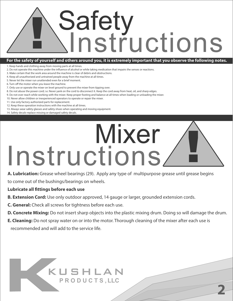# **! Safety** Instructions

#### **For the safety of yourself and others around you, it is extremely important that you observe the following notes.**

1.Keep hands and clothing away from moving parts at all times.

- 2. Do not operate this machine under the influence of alcohol or while taking medication that impairs the senses or reactions.
- 3.Make certain that the work area around the machine is clear of debris and obstructions.
- 4.Keep all unauthorized and untrained people away from the machine at all times.
- 5.Never let the mixer run unattended even for a brief moment.
- 6. Turn off the motor when you leave the machine.
- 7.Only use or operate the mixer on level ground to prevent the mixer from tipping over.
- 8.Do not abuse the power cord; i.e. Never yank on the cord to disconnect it. Keep the cord away from heat, oil, and sharp edges.
- 9.Do not over reach while working with the mixer. Keep proper footing and balance at all times when loading or unloading the mixer.
- 10.Never allow children or inexperienced operators to operate or repair the mixer.
- 11.Use only factory authorized parts for replacement.
- 12.Keep these operation instructions with the machine at all times.
- 13.Always wear safety glasses and safety shoes when operating and moving equipment.
- 14.Safety decals-replace missing or damaged safety decals.

# **!** Mixer Instructions

**A. Lubrication:** Grease wheel bearings (29). Apply any type of multipurpose grease until grease begins to come out of the bushings/bearings on wheels.

#### **Lubricate all fittings before each use**

- **B. Extension Cord:** Use only outdoor approved, 14 gauge or larger, grounded extension cords.
- **C. General:** Check all screws for tightness before each use.
- **D. Concrete Mixing:** Do not insert sharp objects into the plastic mixing drum. Doing so will damage the drum.

**2**

**E. Cleaning:** Do not spray water on or into the motor. Thorough cleaning of the mixer after each use is recommended and will add to the service life.

## KUSHLAN **P R O D U C T S , LLC**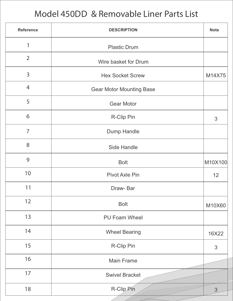## Model 450DD & Removable Liner Parts List

| <b>Reference</b> | <b>DESCRIPTION</b>              |                |  |
|------------------|---------------------------------|----------------|--|
| 1                | <b>Plastic Drum</b>             |                |  |
| $\overline{2}$   | Wire basket for Drum            |                |  |
| 3                | <b>Hex Socket Screw</b>         |                |  |
| $\overline{4}$   | <b>Gear Motor Mounting Base</b> |                |  |
| 5                | <b>Gear Motor</b>               |                |  |
| 6                | R-Clip Pin                      | $\mathfrak{S}$ |  |
| $\overline{7}$   | Dump Handle                     |                |  |
| 8                | <b>Side Handle</b>              |                |  |
| 9                | <b>Bolt</b>                     | M10X100        |  |
| 10               | <b>Pivot Axle Pin</b>           | 12             |  |
| 11               | Draw-Bar                        |                |  |
| 12               | <b>Bolt</b>                     |                |  |
| 13               | <b>PU Foam Wheel</b>            |                |  |
| 14               | <b>Wheel Bearing</b>            |                |  |
| 15               | R-Clip Pin                      |                |  |
| 16               | <b>Main Frame</b>               |                |  |
| 17               | <b>Swivel Bracket</b>           |                |  |
| 18               | R-Clip Pin                      | 3              |  |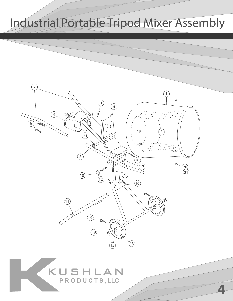## Industrial Portable Tripod Mixer Assembly

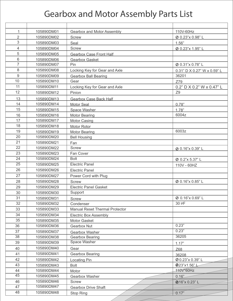## Gearbox and Motor Assembly Parts List

| 1               | 105890DM01 | Gearbox and Motor Assembly            | 110V-60Hz                   |  |
|-----------------|------------|---------------------------------------|-----------------------------|--|
| $\overline{2}$  | 105890DM02 | <b>Screw</b>                          | Ø 0.23"x 0.98" L            |  |
| 3               | 105890DM03 | Seal                                  | 1.56"                       |  |
| $\overline{4}$  | 105890DM04 | <b>Screw</b>                          | Ø 0.23"x 1.95" L            |  |
| 5               | 105890DM05 | Gearbox Case Front Half               |                             |  |
| 6               | 105890DM06 | <b>Gearbox Gasket</b>                 |                             |  |
| $\overline{7}$  | 105890DM07 | Pin                                   | Ø 0.31"x 0.78" L            |  |
| 8               | 105890DM08 | Locking Key for Gear and Axle         | 0.31" D X 0.27" W x 0.59" L |  |
| 9               | 105890DM09 | <b>Gearbox Ball Bearing</b>           | 36201                       |  |
| 10              | 105890DM10 | Gear                                  | Z79                         |  |
| 11              | 105890DM11 | Locking Key for Gear and Axle         | 0.2" D X 0.2" W x 0.47" L   |  |
| 12              | 105890DM12 | Pinion                                | Z <sub>9</sub>              |  |
| 13              | 105890DM13 | <b>Gearbox Case Back Half</b>         |                             |  |
| 14              | 105890DM14 | <b>Motor Seal</b>                     | 0.78"                       |  |
| 15              | 105890DM15 | Space Washer                          | 1.78"                       |  |
| 16              | 105890DM16 | <b>Motor Bearing</b>                  | 6004z                       |  |
| 17              | 105890DM17 | <b>Motor Casing</b>                   |                             |  |
| 18              | 105890DM18 | Motor Rotor                           |                             |  |
| 19              | 105890DM19 | <b>Motor Bearing</b>                  | 6003z                       |  |
| 20              | 105890DM20 | <b>Bell Housing</b>                   |                             |  |
| 21              | 105890DM21 | Fan                                   |                             |  |
| 22              | 105890DM22 | <b>Screw</b>                          | Ø 0.16"x 0.39" L            |  |
| 23              | 105890DM23 | Fan Cover                             |                             |  |
| 24              | 105890DM24 | <b>Bolt</b>                           | Ø 0.2"x 5.37" L             |  |
| $\overline{25}$ | 105890DM25 | <b>Electric Panel</b>                 | 110V - 60HZ                 |  |
| 26              | 105890DM26 | <b>Electric Panel</b>                 |                             |  |
| 27              | 105890DM27 | Power Cord with Plug                  |                             |  |
| 28              | 105890DM28 | <b>Screw</b>                          | Ø 0.16"x 0.85" L            |  |
| 29              | 105890DM29 | <b>Electric Panel Gasket</b>          |                             |  |
| 30              | 105890DM30 | Support                               |                             |  |
| 31              | 105890DM31 | <b>Screw</b>                          | Ø 0.16"x 0.69" L            |  |
| 32              | 105890DM32 | Condenser                             | 30 PF                       |  |
| 33              | 105890DM33 | <b>Manual Reset Thermal Protector</b> |                             |  |
| 34              | 105890DM34 | <b>Electric Box Assembly</b>          |                             |  |
| 35              | 105890DM35 | Motor Gasket                          |                             |  |
| 36              | 105890DM36 | Gearbox Nut                           | 0.23"                       |  |
| 37              | 105890DM37 | Gearbox Washer                        | 0.23"                       |  |
| 38              | 105890DM38 | <b>Gearbox Bearing</b>                | 36205                       |  |
| 39              | 105890DM39 | <b>Space Washer</b>                   | 1.17"                       |  |
| 40              | 105890DM40 | Gear                                  | Z68                         |  |
| 41              | 105890DM41 | Gearbox Bearing                       | 36208                       |  |
| 42              | 105890DM42 | Locating Pin                          | Ø 0.23"x 0.39" L            |  |
| 43              | 105890DM43 | <b>Bolt</b>                           | 0.23"x1.56"L                |  |
| 44              | 105890DM44 | Motor                                 | 410V*60Hz                   |  |
| 45              | 105890DM45 | Gearbox Washer                        | 0.16"                       |  |
| 46              | 105890DM46 | <b>Screw</b>                          | <b>@16"x 0.23"L</b>         |  |
| 47              | 105890DM47 | <b>Gearbox Drive Shaft</b>            |                             |  |
| 48              | 105890DM48 | Stop Ring                             | 0.17"                       |  |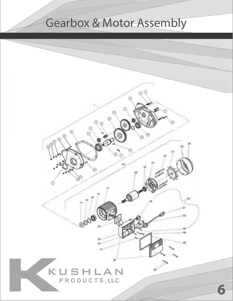## Gearbox & Motor Assembly

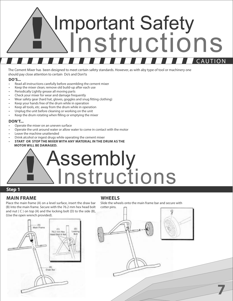# **!** Important Safety **instructions** <u>CAUTION</u>

The Cement Mixer has been designed to meet certain safety standards. However, as with aby type of tool or machinery one should pay close attention to certain Do's and Don'ts

#### **DO'S...**

- Read all instructions carefully before assembling the cement mixer
- Keep the mixer clean; remove old build-up after each use
- Periodically Lightly grease all moving parts
- Check your mixer for wear and damage frequently
- Wear safety gear (hard hat, gloves, goggles and snug fitting clothing)
- Keep your hands free of the drum while in operation
- Keep all tools, etc. away from the drum while in operation
- Unplug the unit before cleaning or working on the unit
- Keep the drum rotating when filling or emptying the mixer

#### **DONT...**

- Operate the mixer on an uneven surface
- Operate the unit around water or allow water to come in contact with the motor
- Leave the machine unattended
- Drink alcohol or ingest drugs while operating the cement mixer
- **START OR STOP THE MIXER WITH ANY MATERIAL IN THE DRUM AS THE MOTOR WILL BE DAMAGED.**

# Assembly<br><u>Ninstructions</u>

#### **Step 1**

#### **MAIN FRAME WHEELS**

Place the main frame (A) on a level surface, insert the draw bar (B) Into the main frame. Secure with the 76.2 mm hex head bolt and nut  $(C)$  on top  $(A)$  and the locking bolt  $(D)$  to the side  $(B)$ , (Use the open wrench provided).



Slide the wheels onto the main frame bar and secure with



**7**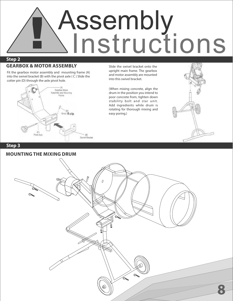

#### **GEARBOX & MOTOR ASSEMBLY**

Fit the gearbox motor assembly and mounting frame (A) into the swivel bracket (B) with the pivot axle ( C ) Slide the cotter pin (D) through the axle pivot hole.



Slide the swivel bracket onto the upright main frame. The gearbox and motor assembly are mounted into this swivel bracket.

(When mixing concrete, align the drum in the position you intend to poor concrete from, tighten down stability bolt and star unit. Add ingredients while drum is rotating for thorough mixing and easy poring.)



#### **Step 3**

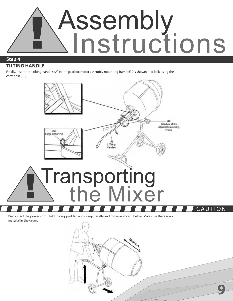

#### **TILTING HANDLE**

Finally, insert both tilting handles (A) in the gearbox motor assembly mounting frame(B) (as shown) and lock using the cotter pin  $(C)$ 



Disconnect the power cord. Hold the support leg and dump handle and move as shown below. Male sure there is no material in the drum.

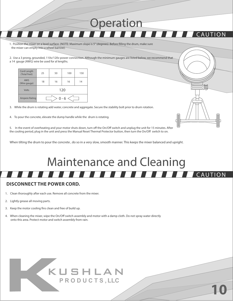1. Position the mixer on a level surface. (NOTE: Maximum slope is 5° (degrees). Before filling the drum, make sure the mixer can empty into a wheel barrow).

2. Use a 3 prong, grounded, 110v/120v power connection. Although the minimum gauges are listed below, we recommend that a 14 gauge (AWG) wire be used for al lengths.

| Cord Length<br>(Total Feet) | 25  | 50 | 100 | 150 |  |
|-----------------------------|-----|----|-----|-----|--|
| <b>AWS</b><br>(Wire gauge)  | 18  | 16 | 16  | 14  |  |
| Volts                       | 120 |    |     |     |  |
| Ampere Rating               |     |    |     |     |  |

3. While the drum is rotating add water, concrete and aggregate. Secure the stability bolt prior to drum rotation.

4. To pour the concrete, elevate the dump handle while the drum is rotating.

5. In the event of overheating and your motor shuts down, turn off the On/Off switch and unplug the unit for 15 minutes. After the cooling period, plug in the unit and press the Manual Reset Thermal Protector button, then turn the On/Off switch to on.

When tilting the drum to pour the concrete , do so in a very slow, smooth manner. This keeps the mixer balanced and upright.

## $CALIT$ Maintenance and Cleaning

**Operation** 

**10**

**AUTION** 

#### **DISCONNECT THE POWER CORD.**

- 1. Clean thoroughly after each use. Remove all concrete from the mixer.
- 2. Lightly grease all moving parts.
- 3. Keep the motor cooling fins clean and free of build up.
- 4. When cleaning the mixer, wipe the On/Off switch assembly and motor with a damp cloth. Do not spray water directly onto this area. Protect motor and switch assembly from rain.

## KUSHLAN **P R O D U C T S , LLC**